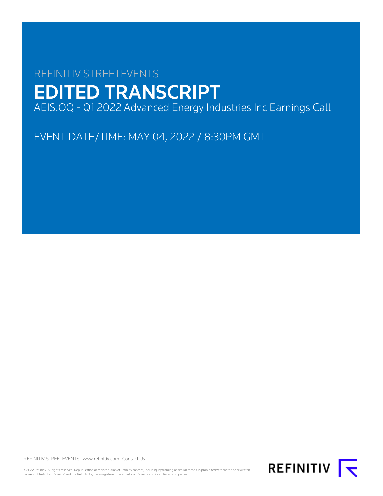# REFINITIV STREETEVENTS EDITED TRANSCRIPT AEIS.OQ - Q1 2022 Advanced Energy Industries Inc Earnings Call

EVENT DATE/TIME: MAY 04, 2022 / 8:30PM GMT

REFINITIV STREETEVENTS | [www.refinitiv.com](https://www.refinitiv.com/) | [Contact Us](https://www.refinitiv.com/en/contact-us)

©2022 Refinitiv. All rights reserved. Republication or redistribution of Refinitiv content, including by framing or similar means, is prohibited without the prior written<br>consent of Refinitiv. 'Refinitiv' and the Refinitiv

REFINITIV **I**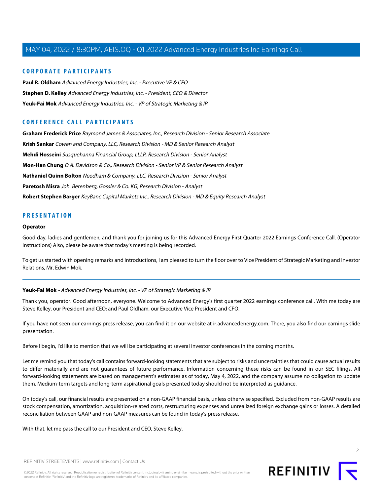# **CORPORATE PARTICIPANTS**

**[Paul R. Oldham](#page-3-0)** Advanced Energy Industries, Inc. - Executive VP & CFO **[Stephen D. Kelley](#page-2-0)** Advanced Energy Industries, Inc. - President, CEO & Director **[Yeuk-Fai Mok](#page-1-0)** Advanced Energy Industries, Inc. - VP of Strategic Marketing & IR

# **CONFERENCE CALL PARTICIPANTS**

**[Graham Frederick Price](#page-10-0)** Raymond James & Associates, Inc., Research Division - Senior Research Associate **[Krish Sankar](#page-8-0)** Cowen and Company, LLC, Research Division - MD & Senior Research Analyst **[Mehdi Hosseini](#page-6-0)** Susquehanna Financial Group, LLLP, Research Division - Senior Analyst **[Mon-Han Chung](#page-9-0)** D.A. Davidson & Co., Research Division - Senior VP & Senior Research Analyst **[Nathaniel Quinn Bolton](#page-5-0)** Needham & Company, LLC, Research Division - Senior Analyst **[Paretosh Misra](#page-7-0)** Joh. Berenberg, Gossler & Co. KG, Research Division - Analyst **[Robert Stephen Barger](#page-6-1)** KeyBanc Capital Markets Inc., Research Division - MD & Equity Research Analyst

# **PRESENTATION**

#### **Operator**

Good day, ladies and gentlemen, and thank you for joining us for this Advanced Energy First Quarter 2022 Earnings Conference Call. (Operator Instructions) Also, please be aware that today's meeting is being recorded.

<span id="page-1-0"></span>To get us started with opening remarks and introductions, I am pleased to turn the floor over to Vice President of Strategic Marketing and Investor Relations, Mr. Edwin Mok.

## **Yeuk-Fai Mok** - Advanced Energy Industries, Inc. - VP of Strategic Marketing & IR

Thank you, operator. Good afternoon, everyone. Welcome to Advanced Energy's first quarter 2022 earnings conference call. With me today are Steve Kelley, our President and CEO; and Paul Oldham, our Executive Vice President and CFO.

If you have not seen our earnings press release, you can find it on our website at ir.advancedenergy.com. There, you also find our earnings slide presentation.

Before I begin, I'd like to mention that we will be participating at several investor conferences in the coming months.

Let me remind you that today's call contains forward-looking statements that are subject to risks and uncertainties that could cause actual results to differ materially and are not guarantees of future performance. Information concerning these risks can be found in our SEC filings. All forward-looking statements are based on management's estimates as of today, May 4, 2022, and the company assume no obligation to update them. Medium-term targets and long-term aspirational goals presented today should not be interpreted as guidance.

On today's call, our financial results are presented on a non-GAAP financial basis, unless otherwise specified. Excluded from non-GAAP results are stock compensation, amortization, acquisition-related costs, restructuring expenses and unrealized foreign exchange gains or losses. A detailed reconciliation between GAAP and non-GAAP measures can be found in today's press release.

With that, let me pass the call to our President and CEO, Steve Kelley.



©2022 Refinitiv. All rights reserved. Republication or redistribution of Refinitiv content, including by framing or similar means, is prohibited without the prior written consent of Refinitiv. 'Refinitiv' and the Refinitiv logo are registered trademarks of Refinitiv and its affiliated companies.

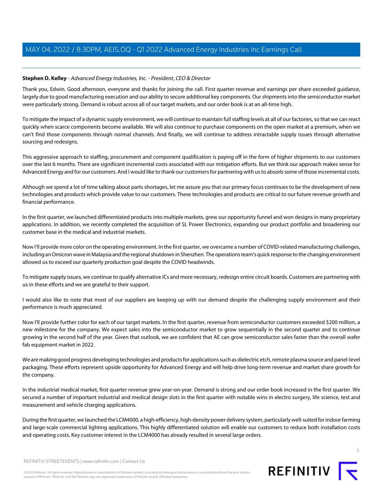## <span id="page-2-0"></span>**Stephen D. Kelley** - Advanced Energy Industries, Inc. - President, CEO & Director

Thank you, Edwin. Good afternoon, everyone and thanks for joining the call. First quarter revenue and earnings per share exceeded guidance, largely due to good manufacturing execution and our ability to secure additional key components. Our shipments into the semiconductor market were particularly strong. Demand is robust across all of our target markets, and our order book is at an all-time high.

To mitigate the impact of a dynamic supply environment, we will continue to maintain full staffing levels at all of our factories, so that we can react quickly when scarce components become available. We will also continue to purchase components on the open market at a premium, when we can't find those components through normal channels. And finally, we will continue to address intractable supply issues through alternative sourcing and redesigns.

This aggressive approach to staffing, procurement and component qualification is paying off in the form of higher shipments to our customers over the last 6 months. There are significant incremental costs associated with our mitigation efforts. But we think our approach makes sense for Advanced Energy and for our customers. And I would like to thank our customers for partnering with us to absorb some of those incremental costs.

Although we spend a lot of time talking about parts shortages, let me assure you that our primary focus continues to be the development of new technologies and products which provide value to our customers. These technologies and products are critical to our future revenue growth and financial performance.

In the first quarter, we launched differentiated products into multiple markets, grew our opportunity funnel and won designs in many proprietary applications. In addition, we recently completed the acquisition of SL Power Electronics, expanding our product portfolio and broadening our customer base in the medical and industrial markets.

Now I'll provide more color on the operating environment. In the first quarter, we overcame a number of COVID-related manufacturing challenges, including an Omicron wave in Malaysia and the regional shutdown in Shenzhen. The operations team's quick response to the changing environment allowed us to exceed our quarterly production goal despite the COVID headwinds.

To mitigate supply issues, we continue to qualify alternative ICs and more necessary, redesign entire circuit boards. Customers are partnering with us in these efforts and we are grateful to their support.

I would also like to note that most of our suppliers are keeping up with our demand despite the challenging supply environment and their performance is much appreciated.

Now I'll provide further color for each of our target markets. In the first quarter, revenue from semiconductor customers exceeded \$200 million, a new milestone for the company. We expect sales into the semiconductor market to grow sequentially in the second quarter and to continue growing in the second half of the year. Given that outlook, we are confident that AE can grow semiconductor sales faster than the overall wafer fab equipment market in 2022.

We are making good progress developing technologies and products for applications such as dielectric etch, remote plasma source and panel-level packaging. These efforts represent upside opportunity for Advanced Energy and will help drive long-term revenue and market share growth for the company.

In the industrial medical market, first quarter revenue grew year-on-year. Demand is strong and our order book increased in the first quarter. We secured a number of important industrial and medical design slots in the first quarter with notable wins in electro surgery, life science, test and measurement and vehicle charging applications.

During the first quarter, we launched the LCM4000, a high-efficiency, high-density power delivery system, particularly well-suited for indoor farming and large-scale commercial lighting applications. This highly differentiated solution will enable our customers to reduce both installation costs and operating costs. Key customer interest in the LCM4000 has already resulted in several large orders.



REFINITIV STREETEVENTS | [www.refinitiv.com](https://www.refinitiv.com/) | [Contact Us](https://www.refinitiv.com/en/contact-us)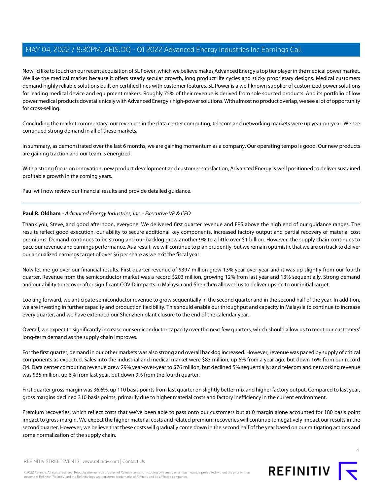Now I'd like to touch on our recent acquisition of SL Power, which we believe makes Advanced Energy a top tier player in the medical power market. We like the medical market because it offers steady secular growth, long product life cycles and sticky proprietary designs. Medical customers demand highly reliable solutions built on certified lines with customer features. SL Power is a well-known supplier of customized power solutions for leading medical device and equipment makers. Roughly 75% of their revenue is derived from sole sourced products. And its portfolio of low power medical products dovetails nicely with Advanced Energy's high-power solutions. With almost no product overlap, we see a lot of opportunity for cross-selling.

Concluding the market commentary, our revenues in the data center computing, telecom and networking markets were up year-on-year. We see continued strong demand in all of these markets.

In summary, as demonstrated over the last 6 months, we are gaining momentum as a company. Our operating tempo is good. Our new products are gaining traction and our team is energized.

With a strong focus on innovation, new product development and customer satisfaction, Advanced Energy is well positioned to deliver sustained profitable growth in the coming years.

<span id="page-3-0"></span>Paul will now review our financial results and provide detailed guidance.

## **Paul R. Oldham** - Advanced Energy Industries, Inc. - Executive VP & CFO

Thank you, Steve, and good afternoon, everyone. We delivered first quarter revenue and EPS above the high end of our guidance ranges. The results reflect good execution, our ability to secure additional key components, increased factory output and partial recovery of material cost premiums. Demand continues to be strong and our backlog grew another 9% to a little over \$1 billion. However, the supply chain continues to pace our revenue and earnings performance. As a result, we will continue to plan prudently, but we remain optimistic that we are on track to deliver our annualized earnings target of over \$6 per share as we exit the fiscal year.

Now let me go over our financial results. First quarter revenue of \$397 million grew 13% year-over-year and it was up slightly from our fourth quarter. Revenue from the semiconductor market was a record \$203 million, growing 12% from last year and 13% sequentially. Strong demand and our ability to recover after significant COVID impacts in Malaysia and Shenzhen allowed us to deliver upside to our initial target.

Looking forward, we anticipate semiconductor revenue to grow sequentially in the second quarter and in the second half of the year. In addition, we are investing in further capacity and production flexibility. This should enable our throughput and capacity in Malaysia to continue to increase every quarter, and we have extended our Shenzhen plant closure to the end of the calendar year.

Overall, we expect to significantly increase our semiconductor capacity over the next few quarters, which should allow us to meet our customers' long-term demand as the supply chain improves.

For the first quarter, demand in our other markets was also strong and overall backlog increased. However, revenue was paced by supply of critical components as expected. Sales into the industrial and medical market were \$83 million, up 6% from a year ago, but down 16% from our record Q4. Data center computing revenue grew 29% year-over-year to \$76 million, but declined 5% sequentially; and telecom and networking revenue was \$35 million, up 6% from last year, but down 9% from the fourth quarter.

First quarter gross margin was 36.6%, up 110 basis points from last quarter on slightly better mix and higher factory output. Compared to last year, gross margins declined 310 basis points, primarily due to higher material costs and factory inefficiency in the current environment.

Premium recoveries, which reflect costs that we've been able to pass onto our customers but at 0 margin alone accounted for 180 basis point impact to gross margin. We expect the higher material costs and related premium recoveries will continue to negatively impact our results in the second quarter. However, we believe that these costs will gradually come down in the second half of the year based on our mitigating actions and some normalization of the supply chain.



REFINITIV STREETEVENTS | [www.refinitiv.com](https://www.refinitiv.com/) | [Contact Us](https://www.refinitiv.com/en/contact-us)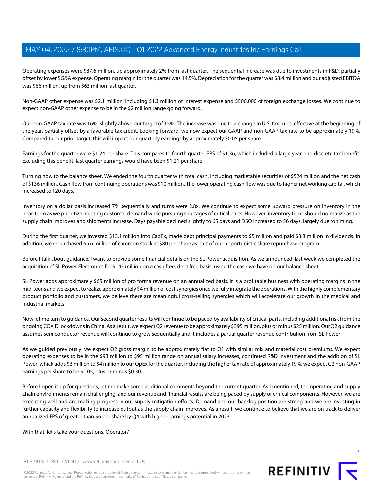Operating expenses were \$87.6 million, up approximately 2% from last quarter. The sequential increase was due to investments in R&D, partially offset by lower SG&A expense. Operating margin for the quarter was 14.5%. Depreciation for the quarter was \$8.4 million and our adjusted EBITDA was \$66 million, up from \$63 million last quarter.

Non-GAAP other expense was \$2.1 million, including \$1.3 million of interest expense and \$500,000 of foreign exchange losses. We continue to expect non-GAAP other expense to be in the \$2 million range going forward.

Our non-GAAP tax rate was 16%, slightly above our target of 15%. The increase was due to a change in U.S. tax rules, effective at the beginning of the year, partially offset by a favorable tax credit. Looking forward, we now expect our GAAP and non-GAAP tax rate to be approximately 19%. Compared to our prior target, this will impact our quarterly earnings by approximately \$0.05 per share.

Earnings for the quarter were \$1.24 per share. This compares to fourth quarter EPS of \$1.36, which included a large year-end discrete tax benefit. Excluding this benefit, last quarter earnings would have been \$1.21 per share.

Turning now to the balance sheet. We ended the fourth quarter with total cash, including marketable securities of \$524 million and the net cash of \$136 million. Cash flow from continuing operations was \$10 million. The lower operating cash flow was due to higher net working capital, which increased to 120 days.

Inventory on a dollar basis increased 7% sequentially and turns were 2.8x. We continue to expect some upward pressure on inventory in the near-term as we prioritize meeting customer demand while pursuing shortages of critical parts. However, inventory turns should normalize as the supply chain improves and shipments increase. Days payable declined slightly to 65 days and DSO increased to 56 days, largely due to timing.

During the first quarter, we invested \$13.1 million into CapEx, made debt principal payments to \$5 million and paid \$3.8 million in dividends. In addition, we repurchased \$6.6 million of common stock at \$80 per share as part of our opportunistic share repurchase program.

Before I talk about guidance, I want to provide some financial details on the SL Power acquisition. As we announced, last week we completed the acquisition of SL Power Electronics for \$145 million on a cash free, debt free basis, using the cash we have on our balance sheet.

SL Power adds approximately \$65 million of pro forma revenue on an annualized basis. It is a profitable business with operating margins in the mid-teens and we expect to realize approximately \$4 million of cost synergies once we fully integrate the operations. With the highly complementary product portfolio and customers, we believe there are meaningful cross-selling synergies which will accelerate our growth in the medical and industrial markets.

Now let me turn to guidance. Our second quarter results will continue to be paced by availability of critical parts, including additional risk from the ongoing COVID lockdowns in China. As a result, we expect Q2 revenue to be approximately \$395 million, plus or minus \$25 million. Our Q2 guidance assumes semiconductor revenue will continue to grow sequentially and it includes a partial quarter revenue contribution from SL Power.

As we guided previously, we expect Q2 gross margin to be approximately flat to Q1 with similar mix and material cost premiums. We expect operating expenses to be in the \$93 million to \$95 million range on annual salary increases, continued R&D investment and the addition of SL Power, which adds \$3 million to \$4 million to our OpEx for the quarter. Including the higher tax rate of approximately 19%, we expect Q2 non-GAAP earnings per share to be \$1.05, plus or minus \$0.30.

Before I open it up for questions, let me make some additional comments beyond the current quarter. As I mentioned, the operating and supply chain environments remain challenging, and our revenue and financial results are being paced by supply of critical components. However, we are executing well and are making progress in our supply mitigation efforts. Demand and our backlog position are strong and we are investing in further capacity and flexibility to increase output as the supply chain improves. As a result, we continue to believe that we are on track to deliver annualized EPS of greater than \$6 per share by Q4 with higher earnings potential in 2023.

With that, let's take your questions. Operator?

REFINITIV STREETEVENTS | [www.refinitiv.com](https://www.refinitiv.com/) | [Contact Us](https://www.refinitiv.com/en/contact-us)

©2022 Refinitiv. All rights reserved. Republication or redistribution of Refinitiv content, including by framing or similar means, is prohibited without the prior written consent of Refinitiv. 'Refinitiv' and the Refinitiv logo are registered trademarks of Refinitiv and its affiliated companies.

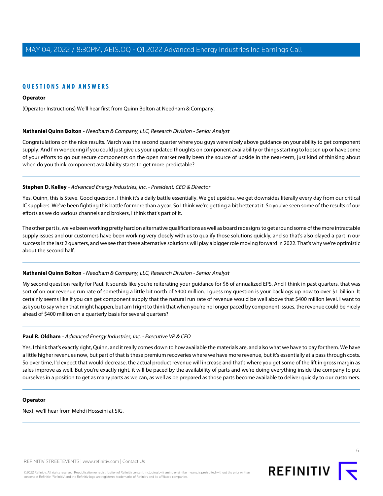# **QUESTIONS AND ANSWERS**

#### **Operator**

<span id="page-5-0"></span>(Operator Instructions) We'll hear first from Quinn Bolton at Needham & Company.

#### **Nathaniel Quinn Bolton** - Needham & Company, LLC, Research Division - Senior Analyst

Congratulations on the nice results. March was the second quarter where you guys were nicely above guidance on your ability to get component supply. And I'm wondering if you could just give us your updated thoughts on component availability or things starting to loosen up or have some of your efforts to go out secure components on the open market really been the source of upside in the near-term, just kind of thinking about when do you think component availability starts to get more predictable?

#### **Stephen D. Kelley** - Advanced Energy Industries, Inc. - President, CEO & Director

Yes. Quinn, this is Steve. Good question. I think it's a daily battle essentially. We get upsides, we get downsides literally every day from our critical IC suppliers. We've been fighting this battle for more than a year. So I think we're getting a bit better at it. So you've seen some of the results of our efforts as we do various channels and brokers, I think that's part of it.

The other part is, we've been working pretty hard on alternative qualifications as well as board redesigns to get around some of the more intractable supply issues and our customers have been working very closely with us to qualify those solutions quickly, and so that's also played a part in our success in the last 2 quarters, and we see that these alternative solutions will play a bigger role moving forward in 2022. That's why we're optimistic about the second half.

#### **Nathaniel Quinn Bolton** - Needham & Company, LLC, Research Division - Senior Analyst

My second question really for Paul. It sounds like you're reiterating your guidance for \$6 of annualized EPS. And I think in past quarters, that was sort of on our revenue run rate of something a little bit north of \$400 million. I guess my question is your backlogs up now to over \$1 billion. It certainly seems like if you can get component supply that the natural run rate of revenue would be well above that \$400 million level. I want to ask you to say when that might happen, but am I right to think that when you're no longer paced by component issues, the revenue could be nicely ahead of \$400 million on a quarterly basis for several quarters?

## **Paul R. Oldham** - Advanced Energy Industries, Inc. - Executive VP & CFO

Yes, I think that's exactly right, Quinn, and it really comes down to how available the materials are, and also what we have to pay for them. We have a little higher revenues now, but part of that is these premium recoveries where we have more revenue, but it's essentially at a pass through costs. So over time, I'd expect that would decrease, the actual product revenue will increase and that's where you get some of the lift in gross margin as sales improve as well. But you're exactly right, it will be paced by the availability of parts and we're doing everything inside the company to put ourselves in a position to get as many parts as we can, as well as be prepared as those parts become available to deliver quickly to our customers.

#### **Operator**

Next, we'll hear from Mehdi Hosseini at SIG.



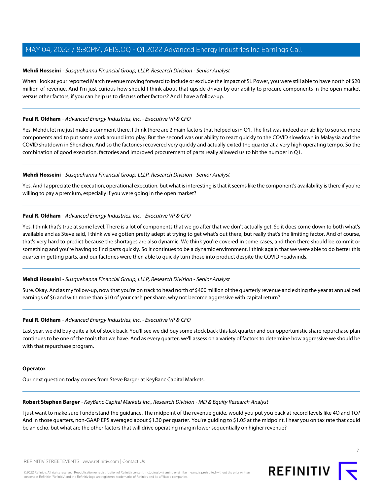## <span id="page-6-0"></span>**Mehdi Hosseini** - Susquehanna Financial Group, LLLP, Research Division - Senior Analyst

When I look at your reported March revenue moving forward to include or exclude the impact of SL Power, you were still able to have north of \$20 million of revenue. And I'm just curious how should I think about that upside driven by our ability to procure components in the open market versus other factors, if you can help us to discuss other factors? And I have a follow-up.

#### **Paul R. Oldham** - Advanced Energy Industries, Inc. - Executive VP & CFO

Yes, Mehdi, let me just make a comment there. I think there are 2 main factors that helped us in Q1. The first was indeed our ability to source more components and to put some work around into play. But the second was our ability to react quickly to the COVID slowdown in Malaysia and the COVID shutdown in Shenzhen. And so the factories recovered very quickly and actually exited the quarter at a very high operating tempo. So the combination of good execution, factories and improved procurement of parts really allowed us to hit the number in Q1.

#### **Mehdi Hosseini** - Susquehanna Financial Group, LLLP, Research Division - Senior Analyst

Yes. And I appreciate the execution, operational execution, but what is interesting is that it seems like the component's availability is there if you're willing to pay a premium, especially if you were going in the open market?

## **Paul R. Oldham** - Advanced Energy Industries, Inc. - Executive VP & CFO

Yes, I think that's true at some level. There is a lot of components that we go after that we don't actually get. So it does come down to both what's available and as Steve said, I think we've gotten pretty adept at trying to get what's out there, but really that's the limiting factor. And of course, that's very hard to predict because the shortages are also dynamic. We think you're covered in some cases, and then there should be commit or something and you're having to find parts quickly. So it continues to be a dynamic environment. I think again that we were able to do better this quarter in getting parts, and our factories were then able to quickly turn those into product despite the COVID headwinds.

## **Mehdi Hosseini** - Susquehanna Financial Group, LLLP, Research Division - Senior Analyst

Sure. Okay. And as my follow-up, now that you're on track to head north of \$400 million of the quarterly revenue and exiting the year at annualized earnings of \$6 and with more than \$10 of your cash per share, why not become aggressive with capital return?

## **Paul R. Oldham** - Advanced Energy Industries, Inc. - Executive VP & CFO

Last year, we did buy quite a lot of stock back. You'll see we did buy some stock back this last quarter and our opportunistic share repurchase plan continues to be one of the tools that we have. And as every quarter, we'll assess on a variety of factors to determine how aggressive we should be with that repurchase program.

#### <span id="page-6-1"></span>**Operator**

Our next question today comes from Steve Barger at KeyBanc Capital Markets.

## **Robert Stephen Barger** - KeyBanc Capital Markets Inc., Research Division - MD & Equity Research Analyst

I just want to make sure I understand the guidance. The midpoint of the revenue guide, would you put you back at record levels like 4Q and 1Q? And in those quarters, non-GAAP EPS averaged about \$1.30 per quarter. You're guiding to \$1.05 at the midpoint. I hear you on tax rate that could be an echo, but what are the other factors that will drive operating margin lower sequentially on higher revenue?

7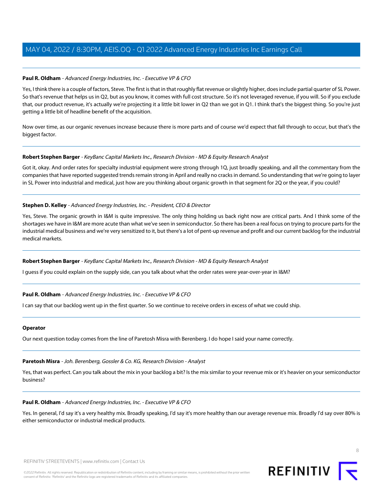## **Paul R. Oldham** - Advanced Energy Industries, Inc. - Executive VP & CFO

Yes, I think there is a couple of factors, Steve. The first is that in that roughly flat revenue or slightly higher, does include partial quarter of SL Power. So that's revenue that helps us in Q2, but as you know, it comes with full cost structure. So it's not leveraged revenue, if you will. So if you exclude that, our product revenue, it's actually we're projecting it a little bit lower in Q2 than we got in Q1. I think that's the biggest thing. So you're just getting a little bit of headline benefit of the acquisition.

Now over time, as our organic revenues increase because there is more parts and of course we'd expect that fall through to occur, but that's the biggest factor.

## **Robert Stephen Barger** - KeyBanc Capital Markets Inc., Research Division - MD & Equity Research Analyst

Got it, okay. And order rates for specialty industrial equipment were strong through 1Q, just broadly speaking, and all the commentary from the companies that have reported suggested trends remain strong in April and really no cracks in demand. So understanding that we're going to layer in SL Power into industrial and medical, just how are you thinking about organic growth in that segment for 2Q or the year, if you could?

# **Stephen D. Kelley** - Advanced Energy Industries, Inc. - President, CEO & Director

Yes, Steve. The organic growth in I&M is quite impressive. The only thing holding us back right now are critical parts. And I think some of the shortages we have in I&M are more acute than what we've seen in semiconductor. So there has been a real focus on trying to procure parts for the industrial medical business and we're very sensitized to it, but there's a lot of pent-up revenue and profit and our current backlog for the industrial medical markets.

## **Robert Stephen Barger** - KeyBanc Capital Markets Inc., Research Division - MD & Equity Research Analyst

I guess if you could explain on the supply side, can you talk about what the order rates were year-over-year in I&M?

## **Paul R. Oldham** - Advanced Energy Industries, Inc. - Executive VP & CFO

I can say that our backlog went up in the first quarter. So we continue to receive orders in excess of what we could ship.

#### <span id="page-7-0"></span>**Operator**

Our next question today comes from the line of Paretosh Misra with Berenberg. I do hope I said your name correctly.

## **Paretosh Misra** - Joh. Berenberg, Gossler & Co. KG, Research Division - Analyst

Yes, that was perfect. Can you talk about the mix in your backlog a bit? Is the mix similar to your revenue mix or it's heavier on your semiconductor business?

## **Paul R. Oldham** - Advanced Energy Industries, Inc. - Executive VP & CFO

Yes. In general, I'd say it's a very healthy mix. Broadly speaking, I'd say it's more healthy than our average revenue mix. Broadly I'd say over 80% is either semiconductor or industrial medical products.

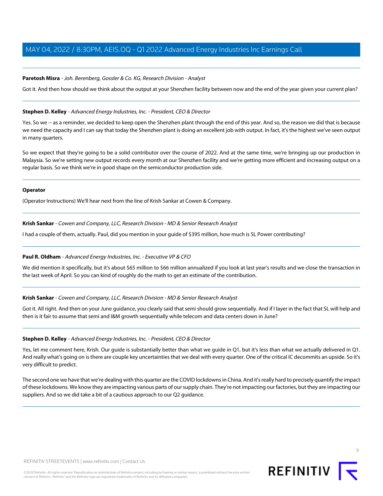#### **Paretosh Misra** - Joh. Berenberg, Gossler & Co. KG, Research Division - Analyst

Got it. And then how should we think about the output at your Shenzhen facility between now and the end of the year given your current plan?

#### **Stephen D. Kelley** - Advanced Energy Industries, Inc. - President, CEO & Director

Yes. So we -- as a reminder, we decided to keep open the Shenzhen plant through the end of this year. And so, the reason we did that is because we need the capacity and I can say that today the Shenzhen plant is doing an excellent job with output. In fact, it's the highest we've seen output in many quarters.

So we expect that they're going to be a solid contributor over the course of 2022. And at the same time, we're bringing up our production in Malaysia. So we're setting new output records every month at our Shenzhen facility and we're getting more efficient and increasing output on a regular basis. So we think we're in good shape on the semiconductor production side.

#### **Operator**

<span id="page-8-0"></span>(Operator Instructions) We'll hear next from the line of Krish Sankar at Cowen & Company.

**Krish Sankar** - Cowen and Company, LLC, Research Division - MD & Senior Research Analyst

I had a couple of them, actually. Paul, did you mention in your guide of \$395 million, how much is SL Power contributing?

## **Paul R. Oldham** - Advanced Energy Industries, Inc. - Executive VP & CFO

We did mention it specifically, but it's about \$65 million to \$66 million annualized if you look at last year's results and we close the transaction in the last week of April. So you can kind of roughly do the math to get an estimate of the contribution.

#### **Krish Sankar** - Cowen and Company, LLC, Research Division - MD & Senior Research Analyst

Got it. All right. And then on your June guidance, you clearly said that semi should grow sequentially. And if I layer in the fact that SL will help and then is it fair to assume that semi and I&M growth sequentially while telecom and data centers down in June?

#### **Stephen D. Kelley** - Advanced Energy Industries, Inc. - President, CEO & Director

Yes, let me comment here, Krish. Our guide is substantially better than what we guide in Q1, but it's less than what we actually delivered in Q1. And really what's going on is there are couple key uncertainties that we deal with every quarter. One of the critical IC decommits an upside. So it's very difficult to predict.

The second one we have that we're dealing with this quarter are the COVID lockdowns in China. And it's really hard to precisely quantify the impact of these lockdowns. We know they are impacting various parts of our supply chain. They're not impacting our factories, but they are impacting our suppliers. And so we did take a bit of a cautious approach to our Q2 guidance.

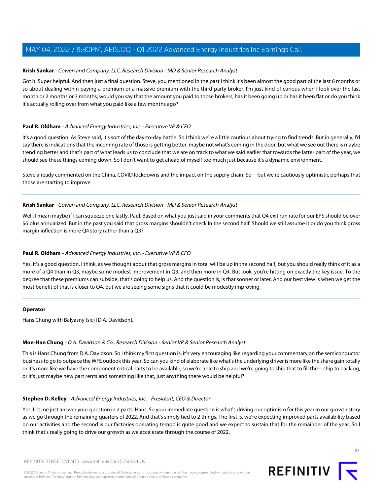#### **Krish Sankar** - Cowen and Company, LLC, Research Division - MD & Senior Research Analyst

Got it. Super helpful. And then just a final question. Steve, you mentioned in the past I think it's been almost the good part of the last 6 months or so about dealing within paying a premium or a massive premium with the third-party broker, I'm just kind of curious when I look over the last month or 2 months or 3 months, would you say that the amount you paid to those brokers, has it been going up or has it been flat or do you think it's actually rolling over from what you paid like a few months ago?

## **Paul R. Oldham** - Advanced Energy Industries, Inc. - Executive VP & CFO

It's a good question. As Steve said, it's sort of the day-to-day battle. So I think we're a little cautious about trying to find trends. But in generally, I'd say there is indications that the incoming rate of those is getting better, maybe not what's coming in the door, but what we see out there is maybe trending better and that's part of what leads us to conclude that we are on track to what we said earlier that towards the latter part of the year, we should see these things coming down. So I don't want to get ahead of myself too much just because it's a dynamic environment.

Steve already commented on the China, COVID lockdowns and the impact on the supply chain. So -- but we're cautiously optimistic perhaps that those are starting to improve.

#### **Krish Sankar** - Cowen and Company, LLC, Research Division - MD & Senior Research Analyst

Well, I mean maybe if I can squeeze one lastly, Paul. Based on what you just said in your comments that Q4 exit run rate for our EPS should be over \$6 plus annualized. But in the past you said that gross margins shouldn't check In the second half. Should we still assume it or do you think gross margin inflection is more Q4 story rather than a Q3?

## **Paul R. Oldham** - Advanced Energy Industries, Inc. - Executive VP & CFO

Yes, it's a good question. I think, as we thought about that gross margins in total will be up in the second half, but you should really think of it as a more of a Q4 than in Q3, maybe some modest improvement in Q3, and then more in Q4. But look, you're hitting on exactly the key issue. To the degree that these premiums can subside, that's going to help us. And the question is, is that sooner or later. And our best view is when we get the most benefit of that is closer to Q4, but we are seeing some signs that it could be modestly improving.

#### <span id="page-9-0"></span>**Operator**

Hans Chung with Balyasny (sic) [D.A. Davidson].

## **Mon-Han Chung** - D.A. Davidson & Co., Research Division - Senior VP & Senior Research Analyst

This is Hans Chung from D.A. Davidson. So I think my first question is, it's very encouraging like regarding your commentary on the semiconductor business to go to outpace the WFE outlook this year. So can you kind of elaborate like what's the underlying driver is more like the share gain totally or it's more like we have the component critical parts to be available, so we're able to ship and we're going to ship that to fill the -- ship to backlog, or it's just maybe new part rents and something like that, just anything there would be helpful?

#### **Stephen D. Kelley** - Advanced Energy Industries, Inc. - President, CEO & Director

Yes. Let me just answer your question in 2 parts, Hans. So your immediate question is what's driving our optimism for this year in our growth story as we go through the remaining quarters of 2022. And that's simply tied to 2 things. The first is, we're expecting improved parts availability based on our activities and the second is our factories operating tempo is quite good and we expect to sustain that for the remainder of the year. So I think that's really going to drive our growth as we accelerate through the course of 2022.

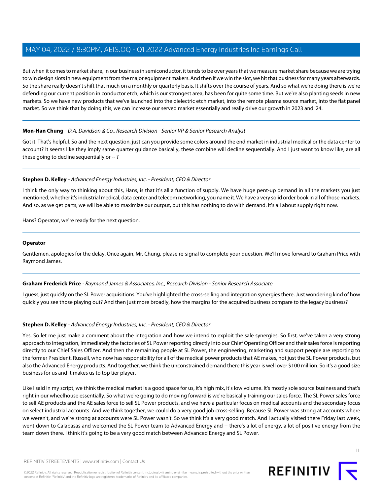But when it comes to market share, in our business in semiconductor, it tends to be over years that we measure market share because we are trying to win design slots in new equipment from the major equipment makers. And then if we win the slot, we hit that business for many years afterwards. So the share really doesn't shift that much on a monthly or quarterly basis. It shifts over the course of years. And so what we're doing there is we're defending our current position in conductor etch, which is our strongest area, has been for quite some time. But we're also planting seeds in new markets. So we have new products that we've launched into the dielectric etch market, into the remote plasma source market, into the flat panel market. So we think that by doing this, we can increase our served market essentially and really drive our growth in 2023 and '24.

# **Mon-Han Chung** - D.A. Davidson & Co., Research Division - Senior VP & Senior Research Analyst

Got it. That's helpful. So and the next question, just can you provide some colors around the end market in industrial medical or the data center to account? It seems like they imply same quarter guidance basically, these combine will decline sequentially. And I just want to know like, are all these going to decline sequentially or -- ?

# **Stephen D. Kelley** - Advanced Energy Industries, Inc. - President, CEO & Director

I think the only way to thinking about this, Hans, is that it's all a function of supply. We have huge pent-up demand in all the markets you just mentioned, whether it's industrial medical, data center and telecom networking, you name it. We have a very solid order book in all of those markets. And so, as we get parts, we will be able to maximize our output, but this has nothing to do with demand. It's all about supply right now.

Hans? Operator, we're ready for the next question.

## **Operator**

<span id="page-10-0"></span>Gentlemen, apologies for the delay. Once again, Mr. Chung, please re-signal to complete your question. We'll move forward to Graham Price with Raymond James.

## **Graham Frederick Price** - Raymond James & Associates, Inc., Research Division - Senior Research Associate

I guess, just quickly on the SL Power acquisitions. You've highlighted the cross-selling and integration synergies there. Just wondering kind of how quickly you see those playing out? And then just more broadly, how the margins for the acquired business compare to the legacy business?

## **Stephen D. Kelley** - Advanced Energy Industries, Inc. - President, CEO & Director

Yes. So let me just make a comment about the integration and how we intend to exploit the sale synergies. So first, we've taken a very strong approach to integration, immediately the factories of SL Power reporting directly into our Chief Operating Officer and their sales force is reporting directly to our Chief Sales Officer. And then the remaining people at SL Power, the engineering, marketing and support people are reporting to the former President, Russell, who now has responsibility for all of the medical power products that AE makes, not just the SL Power products, but also the Advanced Energy products. And together, we think the unconstrained demand there this year is well over \$100 million. So it's a good size business for us and it makes us to top tier player.

Like I said in my script, we think the medical market is a good space for us, it's high mix, it's low volume. It's mostly sole source business and that's right in our wheelhouse essentially. So what we're going to do moving forward is we're basically training our sales force. The SL Power sales force to sell AE products and the AE sales force to sell SL Power products, and we have a particular focus on medical accounts and the secondary focus on select industrial accounts. And we think together, we could do a very good job cross-selling. Because SL Power was strong at accounts where we weren't, and we're strong at accounts were SL Power wasn't. So we think it's a very good match. And I actually visited there Friday last week, went down to Calabasas and welcomed the SL Power team to Advanced Energy and -- there's a lot of energy, a lot of positive energy from the team down there. I think it's going to be a very good match between Advanced Energy and SL Power.

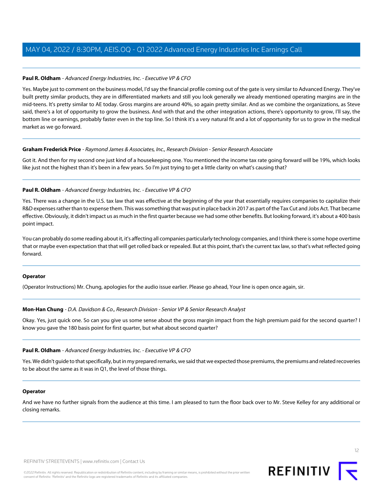## **Paul R. Oldham** - Advanced Energy Industries, Inc. - Executive VP & CFO

Yes. Maybe just to comment on the business model, I'd say the financial profile coming out of the gate is very similar to Advanced Energy. They've built pretty similar products, they are in differentiated markets and still you look generally we already mentioned operating margins are in the mid-teens. It's pretty similar to AE today. Gross margins are around 40%, so again pretty similar. And as we combine the organizations, as Steve said, there's a lot of opportunity to grow the business. And with that and the other integration actions, there's opportunity to grow, I'll say, the bottom line or earnings, probably faster even in the top line. So I think it's a very natural fit and a lot of opportunity for us to grow in the medical market as we go forward.

## **Graham Frederick Price** - Raymond James & Associates, Inc., Research Division - Senior Research Associate

Got it. And then for my second one just kind of a housekeeping one. You mentioned the income tax rate going forward will be 19%, which looks like just not the highest than it's been in a few years. So I'm just trying to get a little clarity on what's causing that?

# **Paul R. Oldham** - Advanced Energy Industries, Inc. - Executive VP & CFO

Yes. There was a change in the U.S. tax law that was effective at the beginning of the year that essentially requires companies to capitalize their R&D expenses rather than to expense them. This was something that was put in place back in 2017 as part of the Tax Cut and Jobs Act. That became effective. Obviously, it didn't impact us as much in the first quarter because we had some other benefits. But looking forward, it's about a 400 basis point impact.

You can probably do some reading about it, it's affecting all companies particularly technology companies, and I think there is some hope overtime that or maybe even expectation that that will get rolled back or repealed. But at this point, that's the current tax law, so that's what reflected going forward.

## **Operator**

(Operator Instructions) Mr. Chung, apologies for the audio issue earlier. Please go ahead, Your line is open once again, sir.

## **Mon-Han Chung** - D.A. Davidson & Co., Research Division - Senior VP & Senior Research Analyst

Okay. Yes, just quick one. So can you give us some sense about the gross margin impact from the high premium paid for the second quarter? I know you gave the 180 basis point for first quarter, but what about second quarter?

## **Paul R. Oldham** - Advanced Energy Industries, Inc. - Executive VP & CFO

Yes. We didn't guide to that specifically, but in my prepared remarks, we said that we expected those premiums, the premiums and related recoveries to be about the same as it was in Q1, the level of those things.

## **Operator**

And we have no further signals from the audience at this time. I am pleased to turn the floor back over to Mr. Steve Kelley for any additional or closing remarks.

consent of Refinitiv. 'Refinitiv' and the Refinitiv logo are registered trademarks of Refinitiv and its affiliated companies.